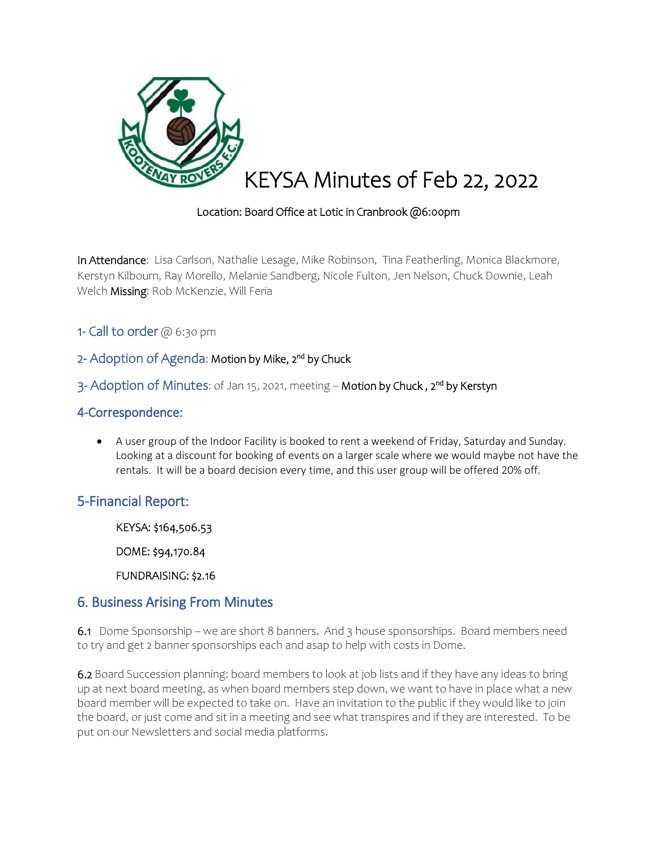

#### Location: Board Office at Lotic in Cranbrook @6:00pm

In Attendance: Lisa Carlson, Nathalie Lesage, Mike Robinson, Tina Featherling, Monica Blackmore, Kerstyn Kilbourn, Ray Morello, Melanie Sandberg, Nicole Fulton, Jen Nelson, Chuck Downie, Leah Welch Missing: Rob McKenzie, Will Feria

1- Call to order @ 6:30 pm

## 2- Adoption of Agenda: Motion by Mike, 2<sup>nd</sup> by Chuck

### 3- Adoption of Minutes: of Jan 15, 2021, meeting – Motion by Chuck , 2<sup>nd</sup> by Kerstyn

#### 4-Correspondence:

 A user group of the Indoor Facility is booked to rent a weekend of Friday, Saturday and Sunday. Looking at a discount for booking of events on a larger scale where we would maybe not have the rentals. It will be a board decision every time, and this user group will be offered 20% off.

## 5-Financial Report:

KEYSA: \$164,506.53

DOME: \$94,170.84

FUNDRAISING: \$2.16

### 6. Business Arising From Minutes

6.1Dome Sponsorship – we are short 8 banners. And 3 house sponsorships. Board members need to try and get 2 banner sponsorships each and asap to help with costs in Dome.

6.2 Board Succession planning: board members to look at job lists and if they have any ideas to bring up at next board meeting, as when board members step down, we want to have in place what a new board member will be expected to take on. Have an invitation to the public if they would like to join the board, or just come and sit in a meeting and see what transpires and if they are interested. To be put on our Newsletters and social media platforms.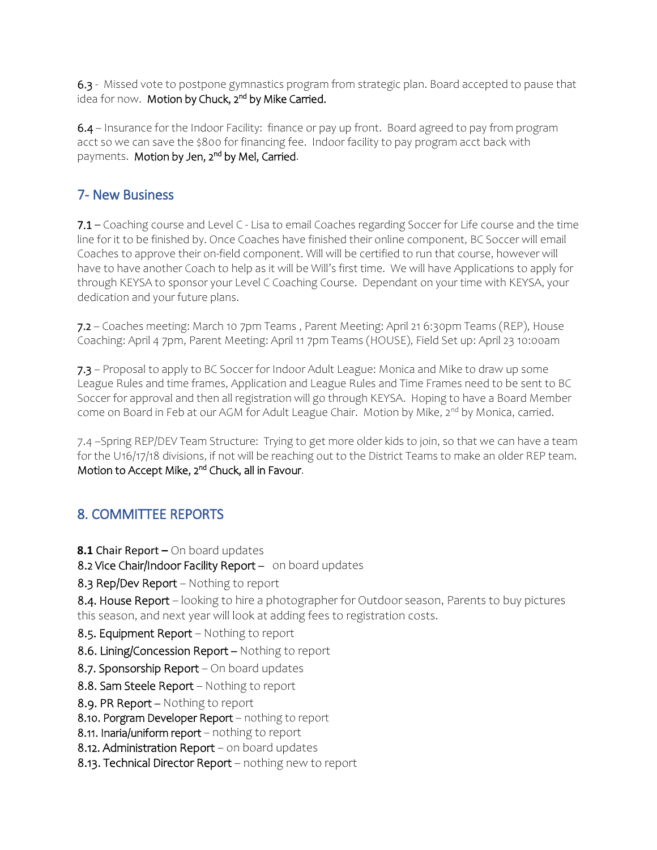6.3 - Missed vote to postpone gymnastics program from strategic plan. Board accepted to pause that idea for now. M**otion by Chuck, 2<sup>nd</sup> by Mike Carried.** 

6.4 – Insurance for the Indoor Facility: finance or pay up front. Board agreed to pay from program acct so we can save the \$800 for financing fee. Indoor facility to pay program acct back with payments. M**otion by Jen, 2<sup>nd</sup> by Mel, Carried**.

# 7- New Business

7.1 – Coaching course and Level C - Lisa to email Coaches regarding Soccer for Life course and the time line for it to be finished by. Once Coaches have finished their online component, BC Soccer will email Coaches to approve their on-field component. Will will be certified to run that course, however will have to have another Coach to help as it will be Will's first time. We will have Applications to apply for through KEYSA to sponsor your Level C Coaching Course. Dependant on your time with KEYSA, your dedication and your future plans.

7.2 – Coaches meeting: March 10 7pm Teams , Parent Meeting: April 21 6:30pm Teams (REP), House Coaching: April 4 7pm, Parent Meeting: April 11 7pm Teams (HOUSE), Field Set up: April 23 10:00am

7.3 – Proposal to apply to BC Soccer for Indoor Adult League: Monica and Mike to draw up some League Rules and time frames, Application and League Rules and Time Frames need to be sent to BC Soccer for approval and then all registration will go through KEYSA. Hoping to have a Board Member come on Board in Feb at our AGM for Adult League Chair. Motion by Mike, 2<sup>nd</sup> by Monica, carried.

7.4 –Spring REP/DEV Team Structure: Trying to get more older kids to join, so that we can have a team for the U16/17/18 divisions, if not will be reaching out to the District Teams to make an older REP team. Motion to Accept Mike, 2<sup>nd</sup> Chuck, all in Favour.

# 8. COMMITTEE REPORTS

- **8.1** Chair Report **–** On board updates
- 8.2 Vice Chair/Indoor Facility Report on board updates
- 8.3 Rep/Dev Report Nothing to report

8.4. House Report – looking to hire a photographer for Outdoor season, Parents to buy pictures this season, and next year will look at adding fees to registration costs.

- 8.5. Equipment Report Nothing to report
- 8.6. Lining/Concession Report Nothing to report
- 8.7. Sponsorship Report On board updates
- 8.8. Sam Steele Report Nothing to report
- 8.9. PR Report Nothing to report
- 8.10. Porgram Developer Report nothing to report
- 8.11. Inaria/uniform report nothing to report
- 8.12. Administration Report on board updates
- 8.13. Technical Director Report nothing new to report